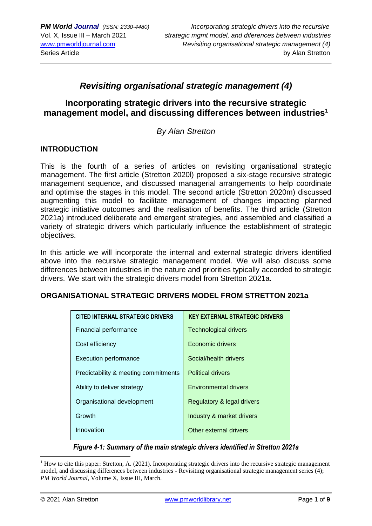## *Revisiting organisational strategic management (4)*

## **Incorporating strategic drivers into the recursive strategic management model, and discussing differences between industries<sup>1</sup>**

#### *By Alan Stretton*

#### **INTRODUCTION**

This is the fourth of a series of articles on revisiting organisational strategic management. The first article (Stretton 2020l) proposed a six-stage recursive strategic management sequence, and discussed managerial arrangements to help coordinate and optimise the stages in this model. The second article (Stretton 2020m) discussed augmenting this model to facilitate management of changes impacting planned strategic initiative outcomes and the realisation of benefits. The third article (Stretton 2021a) introduced deliberate and emergent strategies, and assembled and classified a variety of strategic drivers which particularly influence the establishment of strategic objectives.

In this article we will incorporate the internal and external strategic drivers identified above into the recursive strategic management model. We will also discuss some differences between industries in the nature and priorities typically accorded to strategic drivers. We start with the strategic drivers model from Stretton 2021a.

#### **ORGANISATIONAL STRATEGIC DRIVERS MODEL FROM STRETTON 2021a**

| <b>CITED INTERNAL STRATEGIC DRIVERS</b> | <b>KEY EXTERNAL STRATEGIC DRIVERS</b> |
|-----------------------------------------|---------------------------------------|
| Financial performance                   | <b>Technological drivers</b>          |
| Cost efficiency                         | Economic drivers                      |
| <b>Execution performance</b>            | Social/health drivers                 |
| Predictability & meeting commitments    | <b>Political drivers</b>              |
| Ability to deliver strategy             | <b>Environmental drivers</b>          |
| Organisational development              | Regulatory & legal drivers            |
| Growth                                  | Industry & market drivers             |
| Innovation                              | Other external drivers                |

*Figure 4-1: Summary of the main strategic drivers identified in Stretton 2021a*

 $<sup>1</sup>$  How to cite this paper: Stretton, A. (2021). Incorporating strategic drivers into the recursive strategic management</sup> model, and discussing differences between industries - Revisiting organisational strategic management series (4); *PM World Journal*, Volume X, Issue III, March.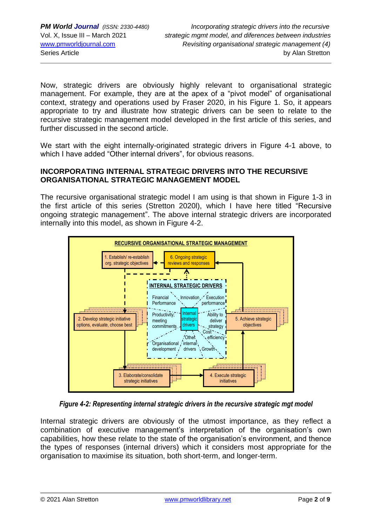Now, strategic drivers are obviously highly relevant to organisational strategic management. For example, they are at the apex of a "pivot model" of organisational context, strategy and operations used by Fraser 2020, in his Figure 1. So, it appears appropriate to try and illustrate how strategic drivers can be seen to relate to the recursive strategic management model developed in the first article of this series, and further discussed in the second article.

We start with the eight internally-originated strategic drivers in Figure 4-1 above, to which I have added "Other internal drivers", for obvious reasons.

#### **INCORPORATING INTERNAL STRATEGIC DRIVERS INTO THE RECURSIVE ORGANISATIONAL STRATEGIC MANAGEMENT MODEL**

The recursive organisational strategic model I am using is that shown in Figure 1-3 in the first article of this series (Stretton 2020l), which I have here titled "Recursive ongoing strategic management". The above internal strategic drivers are incorporated internally into this model, as shown in Figure 4-2.



*Figure 4-2: Representing internal strategic drivers in the recursive strategic mgt model*

Internal strategic drivers are obviously of the utmost importance, as they reflect a combination of executive management's interpretation of the organisation's own capabilities, how these relate to the state of the organisation's environment, and thence the types of responses (internal drivers) which it considers most appropriate for the organisation to maximise its situation, both short-term, and longer-term.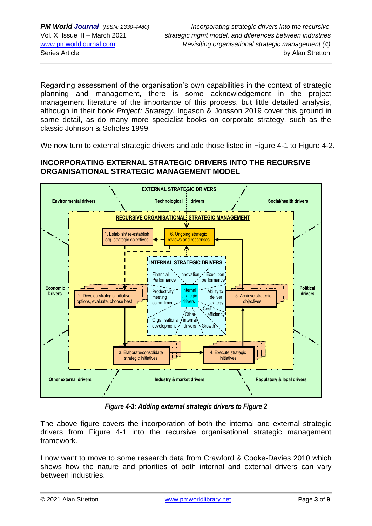Regarding assessment of the organisation's own capabilities in the context of strategic planning and management, there is some acknowledgement in the project management literature of the importance of this process, but little detailed analysis, although in their book *Project: Strategy*, Ingason & Jonsson 2019 cover this ground in some detail, as do many more specialist books on corporate strategy, such as the classic Johnson & Scholes 1999.

We now turn to external strategic drivers and add those listed in Figure 4-1 to Figure 4-2.

#### **INCORPORATING EXTERNAL STRATEGIC DRIVERS INTO THE RECURSIVE ORGANISATIONAL STRATEGIC MANAGEMENT MODEL**



**Figure 4-3: Adding external strategic drivers to Figure 2 Figure 4-3: Adding external strategic drive** 

The above figure covers the incorporation of both the internal and external strategic drivers from Figure 4-1 into the recursive organisational strategic management framework. **c**

I now want to move to some research data from Crawford & Cooke-Davies 2010 which shows how the nature and priorities of both internal and external drivers can vary between industries. 

l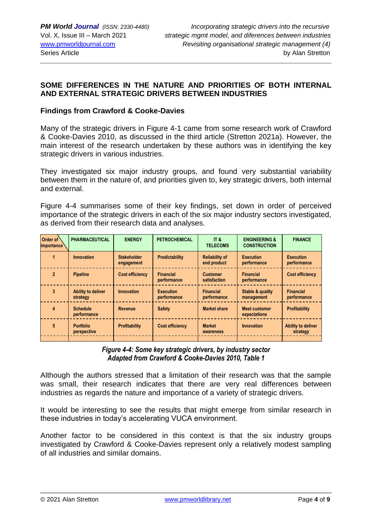## **SOME DIFFERENCES IN THE NATURE AND PRIORITIES OF BOTH INTERNAL AND EXTERNAL STRATEGIC DRIVERS BETWEEN INDUSTRIES**

#### **Findings from Crawford & Cooke-Davies**

Many of the strategic drivers in Figure 4-1 came from some research work of Crawford & Cooke-Davies 2010, as discussed in the third article (Stretton 2021a). However, the main interest of the research undertaken by these authors was in identifying the key strategic drivers in various industries.

They investigated six major industry groups, and found very substantial variability between them in the nature of, and priorities given to, key strategic drivers, both internal and external.

Figure 4-4 summarises some of their key findings, set down in order of perceived importance of the strategic drivers in each of the six major industry sectors investigated, as derived from their research data and analyses.

| Order of<br><i>importance</i> | <b>PHARMACEUTICAL</b>           | <b>ENERGY</b>                    | <b>PETROCHEMICAL</b>            | IT &<br><b>TELECOMS</b>              | <b>ENGINEERING &amp;</b><br><b>CONSTRUCTION</b> | <b>FINANCE</b>                        |
|-------------------------------|---------------------------------|----------------------------------|---------------------------------|--------------------------------------|-------------------------------------------------|---------------------------------------|
|                               | <b>Innovation</b>               | <b>Stakeholder</b><br>engagement | Predictability                  | <b>Reliability of</b><br>end product | <b>Execution</b><br>performance                 | <b>Execution</b><br>performance       |
| $\mathfrak{p}$                | <b>Pipeline</b>                 | <b>Cost efficiency</b>           | <b>Financial</b><br>performance | <b>Customer</b><br>satisfaction      | <b>Financial</b><br>performance                 | <b>Cost efficiency</b>                |
| 3                             | Ability to deliver<br>strategy  | Innovation                       | <b>Execution</b><br>performance | <b>Financial</b><br>performance      | Stable & quality<br>management                  | <b>Financial</b><br>performance       |
| 4                             | <b>Schedule</b><br>performance  | Revenue                          | <b>Safety</b>                   | <b>Market share</b>                  | <b>Meet customer</b><br>expectations            | <b>Profitability</b>                  |
| 5                             | <b>Portfolio</b><br>perspective | <b>Profitability</b>             | Cost efficiency                 | <b>Market</b><br>awareness           | <b>Innovation</b>                               | <b>Ability to deliver</b><br>strategy |
|                               |                                 |                                  |                                 |                                      |                                                 |                                       |

#### *Figure 4-4: Some key strategic drivers, by industry sector Adapted from Crawford & Cooke-Davies 2010, Table 1*

Although the authors stressed that a limitation of their research was that the sample was small, their research indicates that there are very real differences between industries as regards the nature and importance of a variety of strategic drivers.

It would be interesting to see the results that might emerge from similar research in these industries in today's accelerating VUCA environment.

Another factor to be considered in this context is that the six industry groups investigated by Crawford & Cooke-Davies represent only a relatively modest sampling of all industries and similar domains.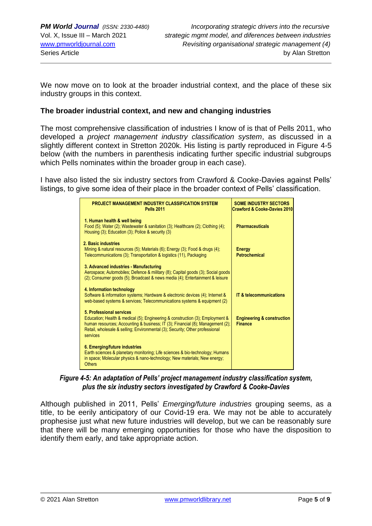We now move on to look at the broader industrial context, and the place of these six industry groups in this context.

#### **The broader industrial context, and new and changing industries**

The most comprehensive classification of industries I know of is that of Pells 2011, who developed a *project management industry classification system*, as discussed in a slightly different context in Stretton 2020k. His listing is partly reproduced in Figure 4-5 below (with the numbers in parenthesis indicating further specific industrial subgroups which Pells nominates within the broader group in each case).

I have also listed the six industry sectors from Crawford & Cooke-Davies against Pells' listings, to give some idea of their place in the broader context of Pells' classification.

| <b>PROJECT MANAGEMENT INDUSTRY CLASSIFICATION SYSTEM</b><br><b>Pells 2011</b>                                                                                                                                                                                                           | <b>SOME INDUSTRY SECTORS</b><br>Crawford & Cooke-Davies 2010 |
|-----------------------------------------------------------------------------------------------------------------------------------------------------------------------------------------------------------------------------------------------------------------------------------------|--------------------------------------------------------------|
| 1. Human health & well being<br>Food (5); Water (2); Wastewater & sanitation (3); Healthcare (2); Clothing (4);<br>Housing (3); Education (3); Police & security (3)                                                                                                                    | <b>Pharmaceuticals</b>                                       |
| 2. Basic industries<br>Mining & natural resources (5); Materials (6); Energy (3); Food & drugs (4);<br>Telecommunications (3); Transportation & logistics (11), Packaging                                                                                                               | <b>Energy</b><br><b>Petrochemical</b>                        |
| 3. Advanced industries - Manufacturing<br>Aerospace; Automobiles; Defence & military (8); Capital goods (3); Social goods<br>(2); Consumer goods (5); Broadcast & news media (4); Entertainment & leisure                                                                               |                                                              |
| 4. Information technology<br>Software & information systems; Hardware & electronic devices (4); Internet &<br>web-based systems & services; Telecommunications systems & equipment (2)                                                                                                  | <b>IT &amp; telecommunications</b>                           |
| 5. Professional services<br>Education; Health & medical (5); Engineering & construction (3); Employment &<br>human resources; Accounting & business; IT (3); Financial (8); Management (2);<br>Retail, wholesale & selling; Environmental (3); Security; Other professional<br>services | <b>Engineering &amp; construction</b><br><b>Finance</b>      |
| 6. Emerging/future industries<br>Earth sciences & planetary monitoring; Life sciences & bio-technology; Humans<br>in space; Molecular physics & nano-technology; New materials; New energy;<br><b>Others</b>                                                                            |                                                              |

*Figure 4-5: An adaptation of Pells' project management industry classification system, plus the six industry sectors investigated by Crawford & Cooke-Davies*

Although published in 2011, Pells' *Emerging/future industries* grouping seems, as a title, to be eerily anticipatory of our Covid-19 era. We may not be able to accurately prophesise just what new future industries will develop, but we can be reasonably sure that there will be many emerging opportunities for those who have the disposition to identify them early, and take appropriate action.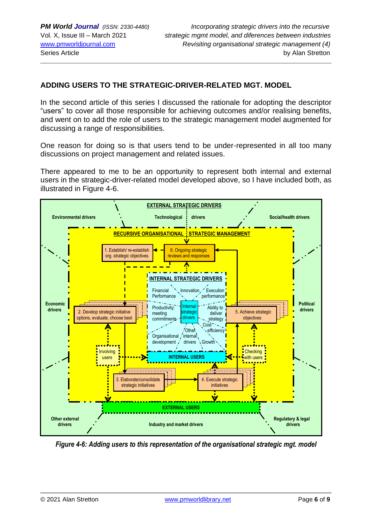## **ADDING USERS TO THE STRATEGIC-DRIVER-RELATED MGT. MODEL**

In the second article of this series I discussed the rationale for adopting the descriptor "users" to cover all those responsible for achieving outcomes and/or realising benefits, and went on to add the role of users to the strategic management model augmented for discussing a range of responsibilities.

One reason for doing so is that users tend to be under-represented in all too many discussions on project management and related issues.

There appeared to me to be an opportunity to represent both internal and external users in the strategic-driver-related model developed above, so I have included both, as illustrated in Figure 4-6.



*Figure 4-6: Adding users to this representation of the organisational strategic mgt. model*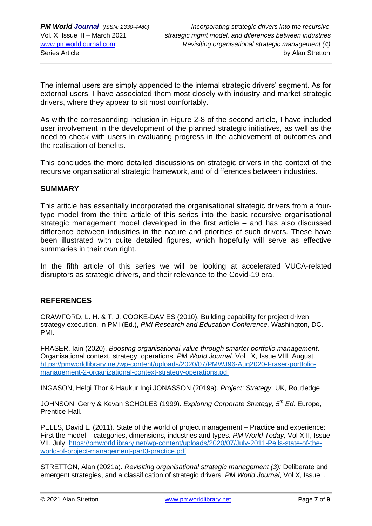The internal users are simply appended to the internal strategic drivers' segment. As for external users, I have associated them most closely with industry and market strategic drivers, where they appear to sit most comfortably.

As with the corresponding inclusion in Figure 2-8 of the second article, I have included user involvement in the development of the planned strategic initiatives, as well as the need to check with users in evaluating progress in the achievement of outcomes and the realisation of benefits.

This concludes the more detailed discussions on strategic drivers in the context of the recursive organisational strategic framework, and of differences between industries.

#### **SUMMARY**

This article has essentially incorporated the organisational strategic drivers from a fourtype model from the third article of this series into the basic recursive organisational strategic management model developed in the first article – and has also discussed difference between industries in the nature and priorities of such drivers. These have been illustrated with quite detailed figures, which hopefully will serve as effective summaries in their own right.

In the fifth article of this series we will be looking at accelerated VUCA-related disruptors as strategic drivers, and their relevance to the Covid-19 era.

#### **REFERENCES**

CRAWFORD, L. H. & T. J. COOKE-DAVIES (2010). Building capability for project driven strategy execution. In PMI (Ed.), *PMI Research and Education Conference,* Washington, DC. PMI.

FRASER, Iain (2020). *Boosting organisational value through smarter portfolio management*. Organisational context, strategy, operations. *PM World Journal,* Vol. IX, Issue VIII, August. [https://pmworldlibrary.net/wp-content/uploads/2020/07/PMWJ96-Aug2020-Fraser-portfolio](https://pmworldlibrary.net/wp-content/uploads/2020/07/PMWJ96-Aug2020-Fraser-portfolio-management-2-organizational-context-strategy-operations.pdf)[management-2-organizational-context-strategy-operations.pdf](https://pmworldlibrary.net/wp-content/uploads/2020/07/PMWJ96-Aug2020-Fraser-portfolio-management-2-organizational-context-strategy-operations.pdf)

INGASON, Helgi Thor & Haukur Ingi JONASSON (2019a). *Project: Strategy*. UK, Routledge

JOHNSON, Gerry & Kevan SCHOLES (1999). *Exploring Corporate Strategy, 5th Ed.* Europe, Prentice-Hall.

PELLS, David L. (2011). State of the world of project management – Practice and experience: First the model – categories, dimensions, industries and types. *PM World Today,* Vol XIII, Issue VII, July. [https://pmworldlibrary.net/wp-content/uploads/2020/07/July-2011-Pells-state-of-the](https://pmworldlibrary.net/wp-content/uploads/2020/07/July-2011-Pells-state-of-the-world-of-project-management-part3-practice.pdf)[world-of-project-management-part3-practice.pdf](https://pmworldlibrary.net/wp-content/uploads/2020/07/July-2011-Pells-state-of-the-world-of-project-management-part3-practice.pdf)

STRETTON, Alan (2021a). *Revisiting organisational strategic management (3):* Deliberate and emergent strategies, and a classification of strategic drivers. *PM World Journal*, Vol X, Issue I,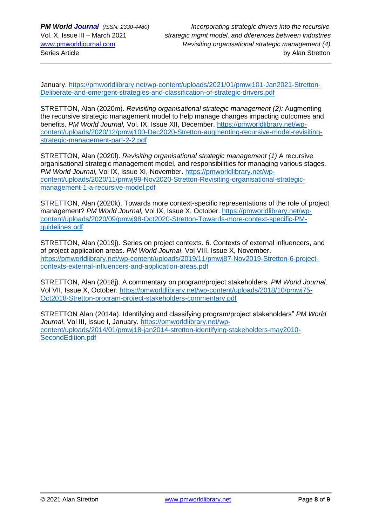January. [https://pmworldlibrary.net/wp-content/uploads/2021/01/pmwj101-Jan2021-Stretton-](https://pmworldlibrary.net/wp-content/uploads/2021/01/pmwj101-Jan2021-Stretton-Deliberate-and-emergent-strategies-and-classification-of-strategic-drivers.pdf)[Deliberate-and-emergent-strategies-and-classification-of-strategic-drivers.pdf](https://pmworldlibrary.net/wp-content/uploads/2021/01/pmwj101-Jan2021-Stretton-Deliberate-and-emergent-strategies-and-classification-of-strategic-drivers.pdf)

STRETTON, Alan (2020m). *Revisiting organisational strategic management (2):* Augmenting the recursive strategic management model to help manage changes impacting outcomes and benefits. *PM World Journal,* Vol. IX, Issue XII, December. [https://pmworldlibrary.net/wp](https://pmworldlibrary.net/wp-content/uploads/2020/12/pmwj100-Dec2020-Stretton-augmenting-recursive-model-revisiting-strategic-management-part-2-2.pdf)[content/uploads/2020/12/pmwj100-Dec2020-Stretton-augmenting-recursive-model-revisiting](https://pmworldlibrary.net/wp-content/uploads/2020/12/pmwj100-Dec2020-Stretton-augmenting-recursive-model-revisiting-strategic-management-part-2-2.pdf)[strategic-management-part-2-2.pdf](https://pmworldlibrary.net/wp-content/uploads/2020/12/pmwj100-Dec2020-Stretton-augmenting-recursive-model-revisiting-strategic-management-part-2-2.pdf)

STRETTON, Alan (2020l). *Revisiting organisational strategic management (1)* A recursive organisational strategic management model, and responsibilities for managing various stages. *PM World Journal,* Vol IX, Issue XI, November. [https://pmworldlibrary.net/wp](https://pmworldlibrary.net/wp-content/uploads/2020/11/pmwj99-Nov2020-Stretton-Revisiting-organisational-strategic-management-1-a-recursive-model.pdf)[content/uploads/2020/11/pmwj99-Nov2020-Stretton-Revisiting-organisational-strategic](https://pmworldlibrary.net/wp-content/uploads/2020/11/pmwj99-Nov2020-Stretton-Revisiting-organisational-strategic-management-1-a-recursive-model.pdf)[management-1-a-recursive-model.pdf](https://pmworldlibrary.net/wp-content/uploads/2020/11/pmwj99-Nov2020-Stretton-Revisiting-organisational-strategic-management-1-a-recursive-model.pdf)

STRETTON, Alan (2020k). Towards more context-specific representations of the role of project management? *PM World Journal,* Vol IX, Issue X, October. [https://pmworldlibrary.net/wp](https://pmworldlibrary.net/wp-content/uploads/2020/09/pmwj98-Oct2020-Stretton-Towards-more-context-specific-PM-guidelines.pdf)[content/uploads/2020/09/pmwj98-Oct2020-Stretton-Towards-more-context-specific-PM](https://pmworldlibrary.net/wp-content/uploads/2020/09/pmwj98-Oct2020-Stretton-Towards-more-context-specific-PM-guidelines.pdf)[guidelines.pdf](https://pmworldlibrary.net/wp-content/uploads/2020/09/pmwj98-Oct2020-Stretton-Towards-more-context-specific-PM-guidelines.pdf)

STRETTON, Alan (2019j). Series on project contexts. 6. Contexts of external influencers, and of project application areas. *PM World Journal*, Vol VIII, Issue X, November. [https://pmworldlibrary.net/wp-content/uploads/2019/11/pmwj87-Nov2019-Stretton-6-project](https://pmworldlibrary.net/wp-content/uploads/2019/11/pmwj87-Nov2019-Stretton-6-project-contexts-external-influencers-and-application-areas.pdf)[contexts-external-influencers-and-application-areas.pdf](https://pmworldlibrary.net/wp-content/uploads/2019/11/pmwj87-Nov2019-Stretton-6-project-contexts-external-influencers-and-application-areas.pdf)

STRETTON, Alan (2018j). A commentary on program/project stakeholders. *PM World Journal,*  Vol VII, Issue X, October. [https://pmworldlibrary.net/wp-content/uploads/2018/10/pmwj75-](https://pmworldlibrary.net/wp-content/uploads/2018/10/pmwj75-Oct2018-Stretton-program-project-stakeholders-commentary.pdf) [Oct2018-Stretton-program-project-stakeholders-commentary.pdf](https://pmworldlibrary.net/wp-content/uploads/2018/10/pmwj75-Oct2018-Stretton-program-project-stakeholders-commentary.pdf)

STRETTON Alan (2014a). Identifying and classifying program/project stakeholders" *PM World Journal*, Vol III, Issue I, January. [https://pmworldlibrary.net/wp](https://pmworldlibrary.net/wp-content/uploads/2014/01/pmwj18-jan2014-stretton-identifying-stakeholders-may2010-SecondEdition.pdf)[content/uploads/2014/01/pmwj18-jan2014-stretton-identifying-stakeholders-may2010-](https://pmworldlibrary.net/wp-content/uploads/2014/01/pmwj18-jan2014-stretton-identifying-stakeholders-may2010-SecondEdition.pdf) [SecondEdition.pdf](https://pmworldlibrary.net/wp-content/uploads/2014/01/pmwj18-jan2014-stretton-identifying-stakeholders-may2010-SecondEdition.pdf)